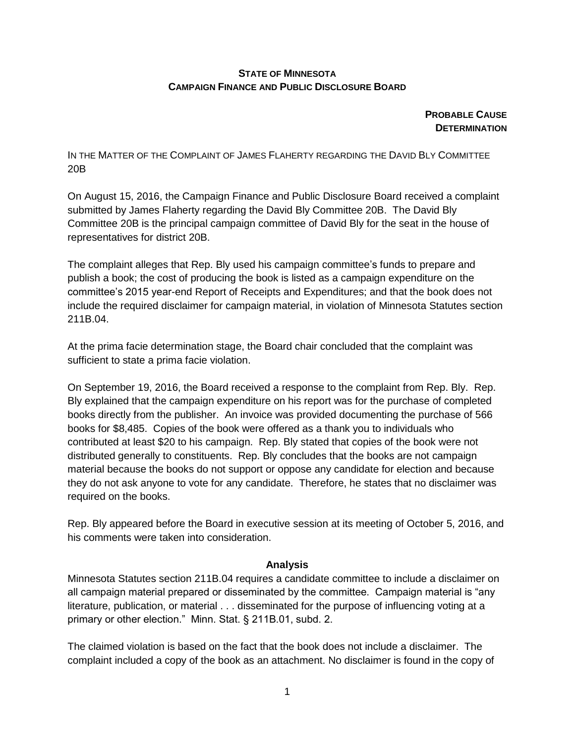## **STATE OF MINNESOTA CAMPAIGN FINANCE AND PUBLIC DISCLOSURE BOARD**

**PROBABLE CAUSE DETERMINATION** 

IN THE MATTER OF THE COMPLAINT OF JAMES FLAHERTY REGARDING THE DAVID BLY COMMITTEE 20B

On August 15, 2016, the Campaign Finance and Public Disclosure Board received a complaint submitted by James Flaherty regarding the David Bly Committee 20B. The David Bly Committee 20B is the principal campaign committee of David Bly for the seat in the house of representatives for district 20B.

The complaint alleges that Rep. Bly used his campaign committee's funds to prepare and publish a book; the cost of producing the book is listed as a campaign expenditure on the committee's 2015 year-end Report of Receipts and Expenditures; and that the book does not include the required disclaimer for campaign material, in violation of Minnesota Statutes section 211B.04.

At the prima facie determination stage, the Board chair concluded that the complaint was sufficient to state a prima facie violation.

On September 19, 2016, the Board received a response to the complaint from Rep. Bly. Rep. Bly explained that the campaign expenditure on his report was for the purchase of completed books directly from the publisher. An invoice was provided documenting the purchase of 566 books for \$8,485. Copies of the book were offered as a thank you to individuals who contributed at least \$20 to his campaign. Rep. Bly stated that copies of the book were not distributed generally to constituents. Rep. Bly concludes that the books are not campaign material because the books do not support or oppose any candidate for election and because they do not ask anyone to vote for any candidate. Therefore, he states that no disclaimer was required on the books.

Rep. Bly appeared before the Board in executive session at its meeting of October 5, 2016, and his comments were taken into consideration.

## **Analysis**

Minnesota Statutes section 211B.04 requires a candidate committee to include a disclaimer on all campaign material prepared or disseminated by the committee. Campaign material is "any literature, publication, or material . . . disseminated for the purpose of influencing voting at a primary or other election." Minn. Stat. § 211B.01, subd. 2.

The claimed violation is based on the fact that the book does not include a disclaimer. The complaint included a copy of the book as an attachment. No disclaimer is found in the copy of